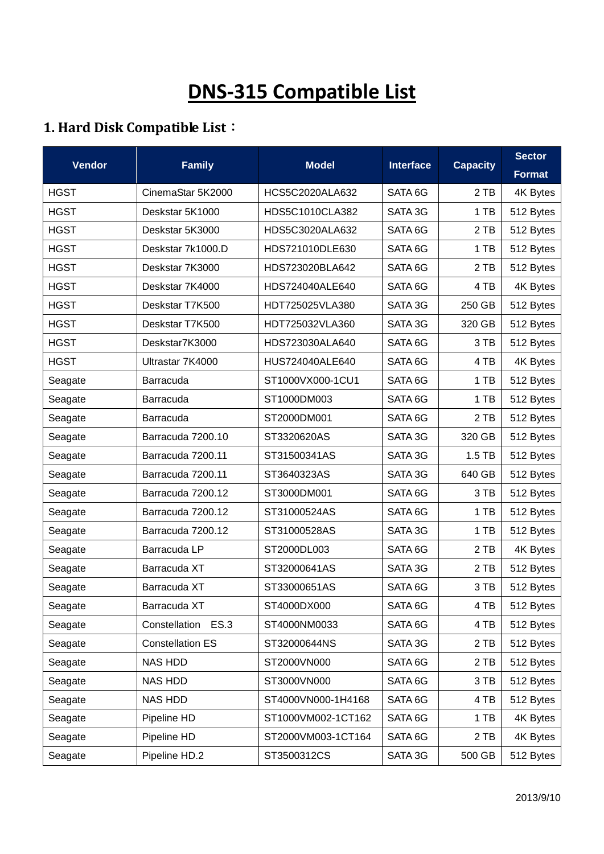## **DNS-315 Compatible List**

## **1. Hard Disk Compatible List**:

| <b>Vendor</b> | <b>Family</b>                | <b>Model</b>                  | <b>Interface</b>   | <b>Capacity</b> | <b>Sector</b> |
|---------------|------------------------------|-------------------------------|--------------------|-----------------|---------------|
|               |                              |                               |                    |                 | <b>Format</b> |
| <b>HGST</b>   | CinemaStar 5K2000            | HCS5C2020ALA632               | SATA 6G            | 2TB             | 4K Bytes      |
| <b>HGST</b>   | Deskstar 5K1000              | HDS5C1010CLA382               | SATA 3G            | 1 TB            | 512 Bytes     |
| <b>HGST</b>   | Deskstar 5K3000              | HDS5C3020ALA632               | SATA 6G            | 2TB             | 512 Bytes     |
| <b>HGST</b>   | Deskstar 7k1000.D            | HDS721010DLE630               | SATA 6G            | 1 TB            | 512 Bytes     |
| <b>HGST</b>   | Deskstar 7K3000              | HDS723020BLA642               | SATA 6G            | 2 TB            | 512 Bytes     |
| <b>HGST</b>   | Deskstar 7K4000              | HDS724040ALE640               | SATA <sub>6G</sub> | 4 TB            | 4K Bytes      |
| <b>HGST</b>   | Deskstar T7K500              | HDT725025VLA380               | SATA 3G            | 250 GB          | 512 Bytes     |
| <b>HGST</b>   | Deskstar T7K500              | HDT725032VLA360               | SATA 3G            | 320 GB          | 512 Bytes     |
| <b>HGST</b>   | Deskstar7K3000               | HDS723030ALA640               | SATA 6G            | 3 TB            | 512 Bytes     |
| <b>HGST</b>   | Ultrastar 7K4000             | HUS724040ALE640               | SATA 6G            | 4 TB            | 4K Bytes      |
| Seagate       | Barracuda                    | ST1000VX000-1CU1              | SATA 6G            | 1 TB            | 512 Bytes     |
| Seagate       | Barracuda                    | ST1000DM003                   | SATA 6G            | 1 TB            | 512 Bytes     |
| Seagate       | Barracuda                    | ST2000DM001                   | SATA 6G            | 2TB             | 512 Bytes     |
| Seagate       | Barracuda 7200.10            | ST3320620AS                   | SATA 3G            | 320 GB          | 512 Bytes     |
| Seagate       | Barracuda 7200.11            | ST31500341AS                  | SATA 3G            | $1.5$ TB        | 512 Bytes     |
| Seagate       | Barracuda 7200.11            | ST3640323AS                   | SATA 3G            | 640 GB          | 512 Bytes     |
| Seagate       | Barracuda 7200.12            | ST3000DM001                   | SATA <sub>6G</sub> | 3 TB            | 512 Bytes     |
| Seagate       | Barracuda 7200.12            | ST31000524AS                  | SATA 6G            | 1 TB            | 512 Bytes     |
| Seagate       | Barracuda 7200.12            | ST31000528AS                  | SATA 3G<br>1 TB    |                 | 512 Bytes     |
| Seagate       | Barracuda LP                 | ST2000DL003<br>SATA 6G        |                    | 2 TB            | 4K Bytes      |
| Seagate       | Barracuda XT                 | ST32000641AS                  | SATA 3G            | 2 TB            | 512 Bytes     |
| Seagate       | Barracuda XT                 | ST33000651AS                  | SATA 6G            | 3 TB            | 512 Bytes     |
| Seagate       | Barracuda XT                 | ST4000DX000                   | SATA 6G            | 4 TB            | 512 Bytes     |
| Seagate       | Constellation<br><b>ES.3</b> | ST4000NM0033                  | SATA 6G            | 4 TB            | 512 Bytes     |
| Seagate       | <b>Constellation ES</b>      | ST32000644NS                  | SATA 3G            | 2 TB            | 512 Bytes     |
| Seagate       | <b>NAS HDD</b>               | ST2000VN000                   | SATA 6G            | 2TB             | 512 Bytes     |
| Seagate       | <b>NAS HDD</b>               | ST3000VN000                   | SATA 6G            | 3 TB            | 512 Bytes     |
| Seagate       | <b>NAS HDD</b>               | ST4000VN000-1H4168            | SATA 6G            | 4 TB            | 512 Bytes     |
| Seagate       | Pipeline HD                  | ST1000VM002-1CT162<br>SATA 6G |                    | 1 TB            | 4K Bytes      |
| Seagate       | Pipeline HD                  | ST2000VM003-1CT164            | SATA 6G            | 2 TB            | 4K Bytes      |
| Seagate       | Pipeline HD.2                | ST3500312CS                   | SATA 3G            | 500 GB          | 512 Bytes     |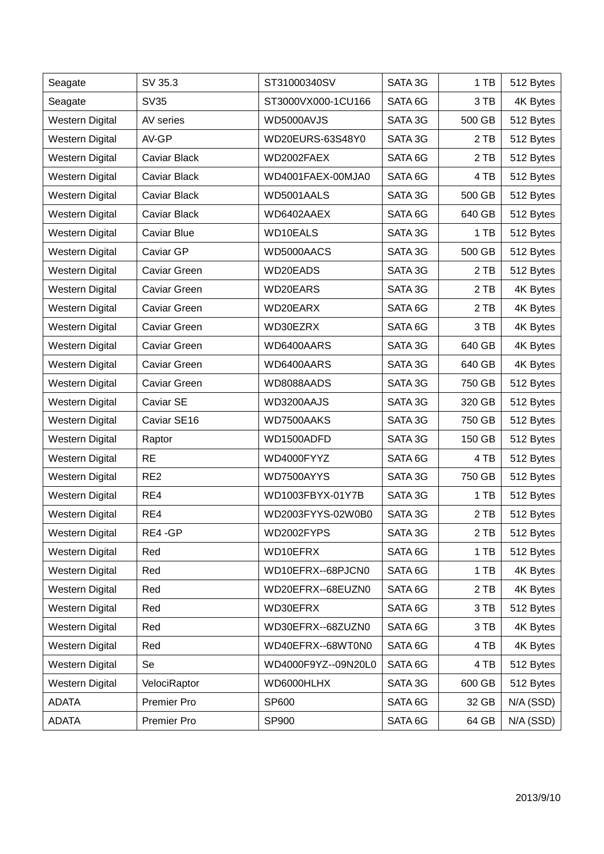| Seagate                | SV 35.3             | ST31000340SV        | SATA 3G | 1 TB   | 512 Bytes   |
|------------------------|---------------------|---------------------|---------|--------|-------------|
| Seagate                | <b>SV35</b>         | ST3000VX000-1CU166  | SATA 6G | 3 TB   | 4K Bytes    |
| <b>Western Digital</b> | AV series           | WD5000AVJS          | SATA 3G | 500 GB | 512 Bytes   |
| <b>Western Digital</b> | AV-GP               | WD20EURS-63S48Y0    | SATA 3G | 2 TB   | 512 Bytes   |
| <b>Western Digital</b> | <b>Caviar Black</b> | WD2002FAEX          | SATA 6G | 2 TB   | 512 Bytes   |
| <b>Western Digital</b> | Caviar Black        | WD4001FAEX-00MJA0   | SATA 6G | 4 TB   | 512 Bytes   |
| <b>Western Digital</b> | Caviar Black        | WD5001AALS          | SATA 3G | 500 GB | 512 Bytes   |
| <b>Western Digital</b> | Caviar Black        | WD6402AAEX          | SATA 6G | 640 GB | 512 Bytes   |
| <b>Western Digital</b> | Caviar Blue         | WD10EALS            | SATA 3G | 1 TB   | 512 Bytes   |
| <b>Western Digital</b> | Caviar GP           | WD5000AACS          | SATA 3G | 500 GB | 512 Bytes   |
| <b>Western Digital</b> | Caviar Green        | WD20EADS            | SATA 3G | 2 TB   | 512 Bytes   |
| <b>Western Digital</b> | Caviar Green        | WD20EARS            | SATA 3G | 2 TB   | 4K Bytes    |
| <b>Western Digital</b> | Caviar Green        | WD20EARX            | SATA 6G | 2 TB   | 4K Bytes    |
| <b>Western Digital</b> | Caviar Green        | WD30EZRX            | SATA 6G | 3 TB   | 4K Bytes    |
| <b>Western Digital</b> | Caviar Green        | WD6400AARS          | SATA 3G | 640 GB | 4K Bytes    |
| <b>Western Digital</b> | Caviar Green        | WD6400AARS          | SATA 3G | 640 GB | 4K Bytes    |
| <b>Western Digital</b> | <b>Caviar Green</b> | WD8088AADS          | SATA 3G | 750 GB | 512 Bytes   |
| <b>Western Digital</b> | Caviar SE           | WD3200AAJS          | SATA 3G | 320 GB | 512 Bytes   |
| Western Digital        | Caviar SE16         | WD7500AAKS          | SATA 3G | 750 GB | 512 Bytes   |
| <b>Western Digital</b> | Raptor              | WD1500ADFD          | SATA 3G | 150 GB | 512 Bytes   |
| <b>Western Digital</b> | <b>RE</b>           | WD4000FYYZ          | SATA 6G | 4 TB   | 512 Bytes   |
| <b>Western Digital</b> | RE <sub>2</sub>     | WD7500AYYS          | SATA 3G | 750 GB | 512 Bytes   |
| <b>Western Digital</b> | RE4                 | WD1003FBYX-01Y7B    | SATA 3G | 1 TB   | 512 Bytes   |
| <b>Western Digital</b> | RE4                 | WD2003FYYS-02W0B0   | SATA 3G | 2 TB   | 512 Bytes   |
| <b>Western Digital</b> | RE4-GP              | WD2002FYPS          | SATA 3G | 2TB    | 512 Bytes   |
| <b>Western Digital</b> | Red                 | WD10EFRX            | SATA 6G | 1TB    | 512 Bytes   |
| <b>Western Digital</b> | Red                 | WD10EFRX--68PJCN0   | SATA 6G | 1 TB   | 4K Bytes    |
| Western Digital        | Red                 | WD20EFRX--68EUZN0   | SATA 6G | 2 TB   | 4K Bytes    |
| <b>Western Digital</b> | Red                 | WD30EFRX            | SATA 6G | 3 TB   | 512 Bytes   |
| <b>Western Digital</b> | Red                 | WD30EFRX--68ZUZN0   | SATA 6G | 3 TB   | 4K Bytes    |
| Western Digital        | Red                 | WD40EFRX--68WT0N0   | SATA 6G | 4 TB   | 4K Bytes    |
| <b>Western Digital</b> | Se                  | WD4000F9YZ--09N20L0 | SATA 6G | 4 TB   | 512 Bytes   |
| <b>Western Digital</b> | VelociRaptor        | WD6000HLHX          | SATA 3G | 600 GB | 512 Bytes   |
| <b>ADATA</b>           | Premier Pro         | SP600               | SATA 6G | 32 GB  | N/A (SSD)   |
| <b>ADATA</b>           | Premier Pro         | SP900               | SATA 6G | 64 GB  | $N/A$ (SSD) |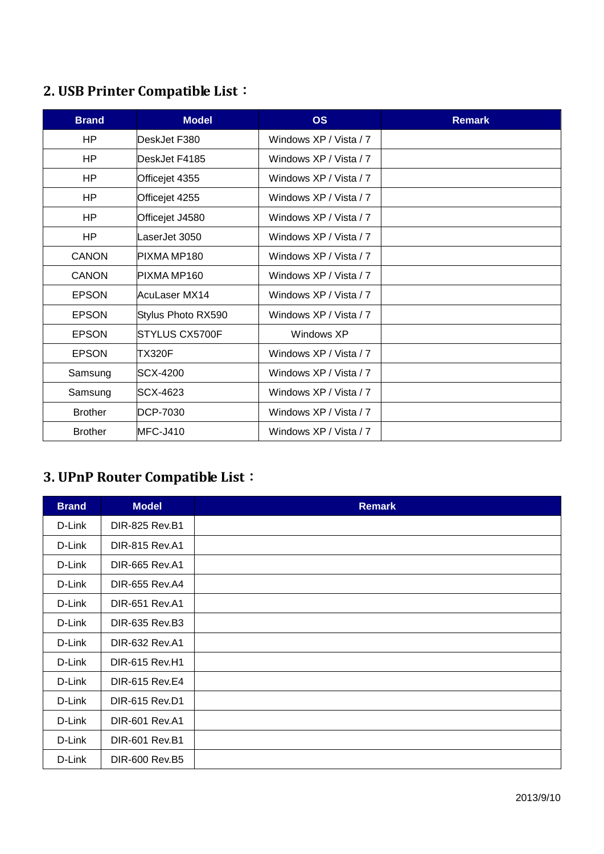## **2. USB Printer Compatible List**:

| <b>Brand</b>   | <b>Model</b>       | <b>OS</b>              | <b>Remark</b> |  |
|----------------|--------------------|------------------------|---------------|--|
| H <sub>P</sub> | DeskJet F380       | Windows XP / Vista / 7 |               |  |
| HP.            | DeskJet F4185      | Windows XP / Vista / 7 |               |  |
| HP             | Officejet 4355     | Windows XP / Vista / 7 |               |  |
| HP.            | Officejet 4255     | Windows XP / Vista / 7 |               |  |
| HP.            | Officejet J4580    | Windows XP / Vista / 7 |               |  |
| HP.            | LaserJet 3050      | Windows XP / Vista / 7 |               |  |
| <b>CANON</b>   | PIXMA MP180        | Windows XP / Vista / 7 |               |  |
| CANON          | PIXMA MP160        | Windows XP / Vista / 7 |               |  |
| <b>EPSON</b>   | AcuLaser MX14      | Windows XP / Vista / 7 |               |  |
| <b>EPSON</b>   | Stylus Photo RX590 | Windows XP / Vista / 7 |               |  |
| <b>EPSON</b>   | STYLUS CX5700F     | Windows XP             |               |  |
| <b>EPSON</b>   | TX320F             | Windows XP / Vista / 7 |               |  |
| Samsung        | SCX-4200           | Windows XP / Vista / 7 |               |  |
| Samsung        | SCX-4623           | Windows XP / Vista / 7 |               |  |
| <b>Brother</b> | <b>DCP-7030</b>    | Windows XP / Vista / 7 |               |  |
| <b>Brother</b> | $MFC-J410$         | Windows XP / Vista / 7 |               |  |

## **3. UPnP Router Compatible List**:

| <b>Brand</b> | <b>Model</b>          | <b>Remark</b> |
|--------------|-----------------------|---------------|
| D-Link       | <b>DIR-825 Rev.B1</b> |               |
| D-Link       | <b>DIR-815 Rev.A1</b> |               |
| D-Link       | <b>DIR-665 Rev.A1</b> |               |
| D-Link       | <b>DIR-655 Rev.A4</b> |               |
| D-Link       | <b>DIR-651 Rev.A1</b> |               |
| D-Link       | DIR-635 Rev.B3        |               |
| D-Link       | <b>DIR-632 Rev.A1</b> |               |
| D-Link       | <b>DIR-615 Rev.H1</b> |               |
| D-Link       | <b>DIR-615 Rev.E4</b> |               |
| D-Link       | <b>DIR-615 Rev.D1</b> |               |
| D-Link       | <b>DIR-601 Rev.A1</b> |               |
| D-Link       | <b>DIR-601 Rev.B1</b> |               |
| D-Link       | DIR-600 Rev.B5        |               |